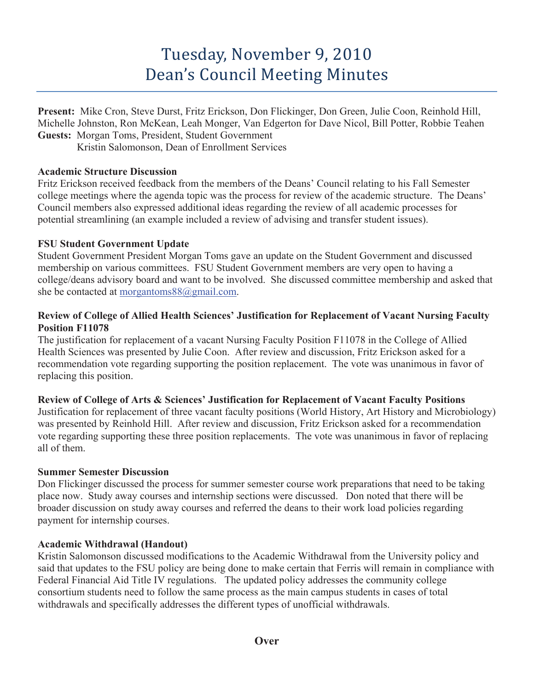# Tuesday, November 9, 2010 Dean's Council Meeting Minutes

**Present:** Mike Cron, Steve Durst, Fritz Erickson, Don Flickinger, Don Green, Julie Coon, Reinhold Hill, Michelle Johnston, Ron McKean, Leah Monger, Van Edgerton for Dave Nicol, Bill Potter, Robbie Teahen **Guests:** Morgan Toms, President, Student Government

Kristin Salomonson, Dean of Enrollment Services

#### **Academic Structure Discussion**

Fritz Erickson received feedback from the members of the Deans' Council relating to his Fall Semester college meetings where the agenda topic was the process for review of the academic structure. The Deans' Council members also expressed additional ideas regarding the review of all academic processes for potential streamlining (an example included a review of advising and transfer student issues).

# **FSU Student Government Update**

Student Government President Morgan Toms gave an update on the Student Government and discussed membership on various committees. FSU Student Government members are very open to having a college/deans advisory board and want to be involved. She discussed committee membership and asked that she be contacted at morgantoms88@gmail.com.

#### **Review of College of Allied Health Sciences' Justification for Replacement of Vacant Nursing Faculty Position F11078**

The justification for replacement of a vacant Nursing Faculty Position F11078 in the College of Allied Health Sciences was presented by Julie Coon. After review and discussion, Fritz Erickson asked for a recommendation vote regarding supporting the position replacement. The vote was unanimous in favor of replacing this position.

# **Review of College of Arts & Sciences' Justification for Replacement of Vacant Faculty Positions**

Justification for replacement of three vacant faculty positions (World History, Art History and Microbiology) was presented by Reinhold Hill. After review and discussion, Fritz Erickson asked for a recommendation vote regarding supporting these three position replacements. The vote was unanimous in favor of replacing all of them.

# **Summer Semester Discussion**

Don Flickinger discussed the process for summer semester course work preparations that need to be taking place now. Study away courses and internship sections were discussed. Don noted that there will be broader discussion on study away courses and referred the deans to their work load policies regarding payment for internship courses.

# **Academic Withdrawal (Handout)**

Kristin Salomonson discussed modifications to the Academic Withdrawal from the University policy and said that updates to the FSU policy are being done to make certain that Ferris will remain in compliance with Federal Financial Aid Title IV regulations. The updated policy addresses the community college consortium students need to follow the same process as the main campus students in cases of total withdrawals and specifically addresses the different types of unofficial withdrawals.